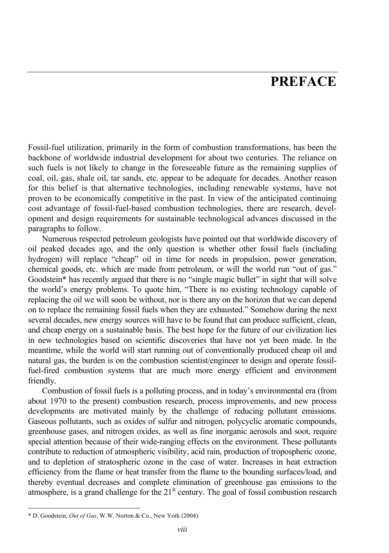## **PREFACE**

Fossil-fuel utilization, primarily in the form of combustion transformations, has been the backbone of worldwide industrial development for about two centuries. The reliance on such fuels is not likely to change in the foreseeable future as the remaining supplies of coal, oil, gas, shale oil, tar sands, etc. appear to be adequate for decades. Another reason for this belief is that alternative technologies, including renewable systems, have not proven to be economically competitive in the past. In view of the anticipated continuing cost advantage of fossil-fuel-based combustion technologies, there are research, development and design requirements for sustainable technological advances discussed in the paragraphs to follow.

Numerous respected petroleum geologists have pointed out that worldwide discovery of oil peaked decades ago, and the only question is whether other fossil fuels (including hydrogen) will replace "cheap" oil in time for needs in propulsion, power generation, chemical goods, etc. which are made from petroleum, or will the world run "out of gas." Goodstein\* has recently argued that there is no "single magic bullet" in sight that will solve the world's energy problems. To quote him, "There is no existing technology capable of replacing the oil we will soon be without, nor is there any on the horizon that we can depend on to replace the remaining fossil fuels when they are exhausted." Somehow during the next several decades, new energy sources will have to be found that can produce sufficient, clean, and cheap energy on a sustainable basis. The best hope for the future of our civilization lies in new technologies based on scientific discoveries that have not yet been made. In the meantime, while the world will start running out of conventionally produced cheap oil and natural gas, the burden is on the combustion scientist/engineer to design and operate fossilfuel-fired combustion systems that are much more energy efficient and environment friendly.

Combustion of fossil fuels is a polluting process, and in today's environmental era (from about 1970 to the present) combustion research, process improvements, and new process developments are motivated mainly by the challenge of reducing pollutant emissions. Gaseous pollutants, such as oxides of sulfur and nitrogen, polycyclic aromatic compounds, greenhouse gases, and nitrogen oxides, as well as fine inorganic aerosols and soot, require special attention because of their wide-ranging effects on the environment. These pollutants contribute to reduction of atmospheric visibility, acid rain, production of tropospheric ozone, and to depletion of stratospheric ozone in the case of water. Increases in heat extraction efficiency from the flame or heat transfer from the flame to the bounding surfaces/load, and thereby eventual decreases and complete elimination of greenhouse gas emissions to the atmosphere, is a grand challenge for the  $21<sup>st</sup>$  century. The goal of fossil combustion research

l

<sup>\*</sup> D. Goodstein, *Out of Gas*, W.W. Norton & Co., New York (2004).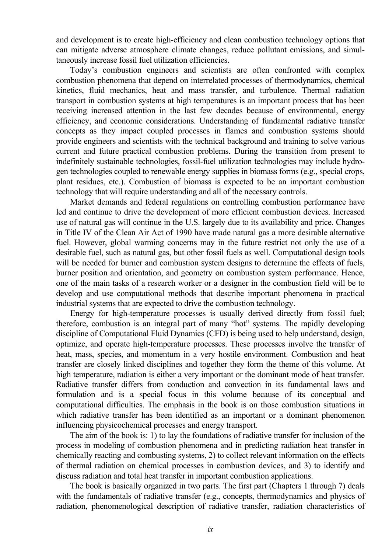and development is to create high-efficiency and clean combustion technology options that can mitigate adverse atmosphere climate changes, reduce pollutant emissions, and simultaneously increase fossil fuel utilization efficiencies.

Today's combustion engineers and scientists are often confronted with complex combustion phenomena that depend on interrelated processes of thermodynamics, chemical kinetics, fluid mechanics, heat and mass transfer, and turbulence. Thermal radiation transport in combustion systems at high temperatures is an important process that has been receiving increased attention in the last few decades because of environmental, energy efficiency, and economic considerations. Understanding of fundamental radiative transfer concepts as they impact coupled processes in flames and combustion systems should provide engineers and scientists with the technical background and training to solve various current and future practical combustion problems. During the transition from present to indefinitely sustainable technologies, fossil-fuel utilization technologies may include hydrogen technologies coupled to renewable energy supplies in biomass forms (e.g., special crops, plant residues, etc.). Combustion of biomass is expected to be an important combustion technology that will require understanding and all of the necessary controls.

Market demands and federal regulations on controlling combustion performance have led and continue to drive the development of more efficient combustion devices. Increased use of natural gas will continue in the U.S. largely due to its availability and price. Changes in Title IV of the Clean Air Act of 1990 have made natural gas a more desirable alternative fuel. However, global warming concerns may in the future restrict not only the use of a desirable fuel, such as natural gas, but other fossil fuels as well. Computational design tools will be needed for burner and combustion system designs to determine the effects of fuels, burner position and orientation, and geometry on combustion system performance. Hence, one of the main tasks of a research worker or a designer in the combustion field will be to develop and use computational methods that describe important phenomena in practical industrial systems that are expected to drive the combustion technology.

Energy for high-temperature processes is usually derived directly from fossil fuel; therefore, combustion is an integral part of many "hot" systems. The rapidly developing discipline of Computational Fluid Dynamics (CFD) is being used to help understand, design, optimize, and operate high-temperature processes. These processes involve the transfer of heat, mass, species, and momentum in a very hostile environment. Combustion and heat transfer are closely linked disciplines and together they form the theme of this volume. At high temperature, radiation is either a very important or the dominant mode of heat transfer. Radiative transfer differs from conduction and convection in its fundamental laws and formulation and is a special focus in this volume because of its conceptual and computational difficulties. The emphasis in the book is on those combustion situations in which radiative transfer has been identified as an important or a dominant phenomenon influencing physicochemical processes and energy transport.

The aim of the book is: 1) to lay the foundations of radiative transfer for inclusion of the process in modeling of combustion phenomena and in predicting radiation heat transfer in chemically reacting and combusting systems, 2) to collect relevant information on the effects of thermal radiation on chemical processes in combustion devices, and 3) to identify and discuss radiation and total heat transfer in important combustion applications.

The book is basically organized in two parts. The first part (Chapters 1 through 7) deals with the fundamentals of radiative transfer (e.g., concepts, thermodynamics and physics of radiation, phenomenological description of radiative transfer, radiation characteristics of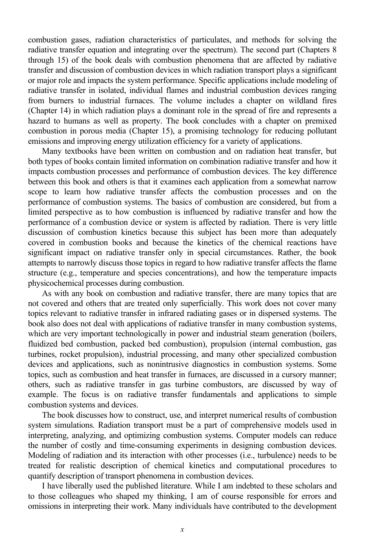combustion gases, radiation characteristics of particulates, and methods for solving the radiative transfer equation and integrating over the spectrum). The second part (Chapters 8 through 15) of the book deals with combustion phenomena that are affected by radiative transfer and discussion of combustion devices in which radiation transport plays a significant or major role and impacts the system performance. Specific applications include modeling of radiative transfer in isolated, individual flames and industrial combustion devices ranging from burners to industrial furnaces. The volume includes a chapter on wildland fires (Chapter 14) in which radiation plays a dominant role in the spread of fire and represents a hazard to humans as well as property. The book concludes with a chapter on premixed combustion in porous media (Chapter 15), a promising technology for reducing pollutant emissions and improving energy utilization efficiency for a variety of applications.

Many textbooks have been written on combustion and on radiation heat transfer, but both types of books contain limited information on combination radiative transfer and how it impacts combustion processes and performance of combustion devices. The key difference between this book and others is that it examines each application from a somewhat narrow scope to learn how radiative transfer affects the combustion processes and on the performance of combustion systems. The basics of combustion are considered, but from a limited perspective as to how combustion is influenced by radiative transfer and how the performance of a combustion device or system is affected by radiation. There is very little discussion of combustion kinetics because this subject has been more than adequately covered in combustion books and because the kinetics of the chemical reactions have significant impact on radiative transfer only in special circumstances. Rather, the book attempts to narrowly discuss those topics in regard to how radiative transfer affects the flame structure (e.g., temperature and species concentrations), and how the temperature impacts physicochemical processes during combustion.

As with any book on combustion and radiative transfer, there are many topics that are not covered and others that are treated only superficially. This work does not cover many topics relevant to radiative transfer in infrared radiating gases or in dispersed systems. The book also does not deal with applications of radiative transfer in many combustion systems, which are very important technologically in power and industrial steam generation (boilers, fluidized bed combustion, packed bed combustion), propulsion (internal combustion, gas turbines, rocket propulsion), industrial processing, and many other specialized combustion devices and applications, such as nonintrusive diagnostics in combustion systems. Some topics, such as combustion and heat transfer in furnaces, are discussed in a cursory manner; others, such as radiative transfer in gas turbine combustors, are discussed by way of example. The focus is on radiative transfer fundamentals and applications to simple combustion systems and devices.

The book discusses how to construct, use, and interpret numerical results of combustion system simulations. Radiation transport must be a part of comprehensive models used in interpreting, analyzing, and optimizing combustion systems. Computer models can reduce the number of costly and time-consuming experiments in designing combustion devices. Modeling of radiation and its interaction with other processes (i.e., turbulence) needs to be treated for realistic description of chemical kinetics and computational procedures to quantify description of transport phenomena in combustion devices.

I have liberally used the published literature. While I am indebted to these scholars and to those colleagues who shaped my thinking, I am of course responsible for errors and omissions in interpreting their work. Many individuals have contributed to the development